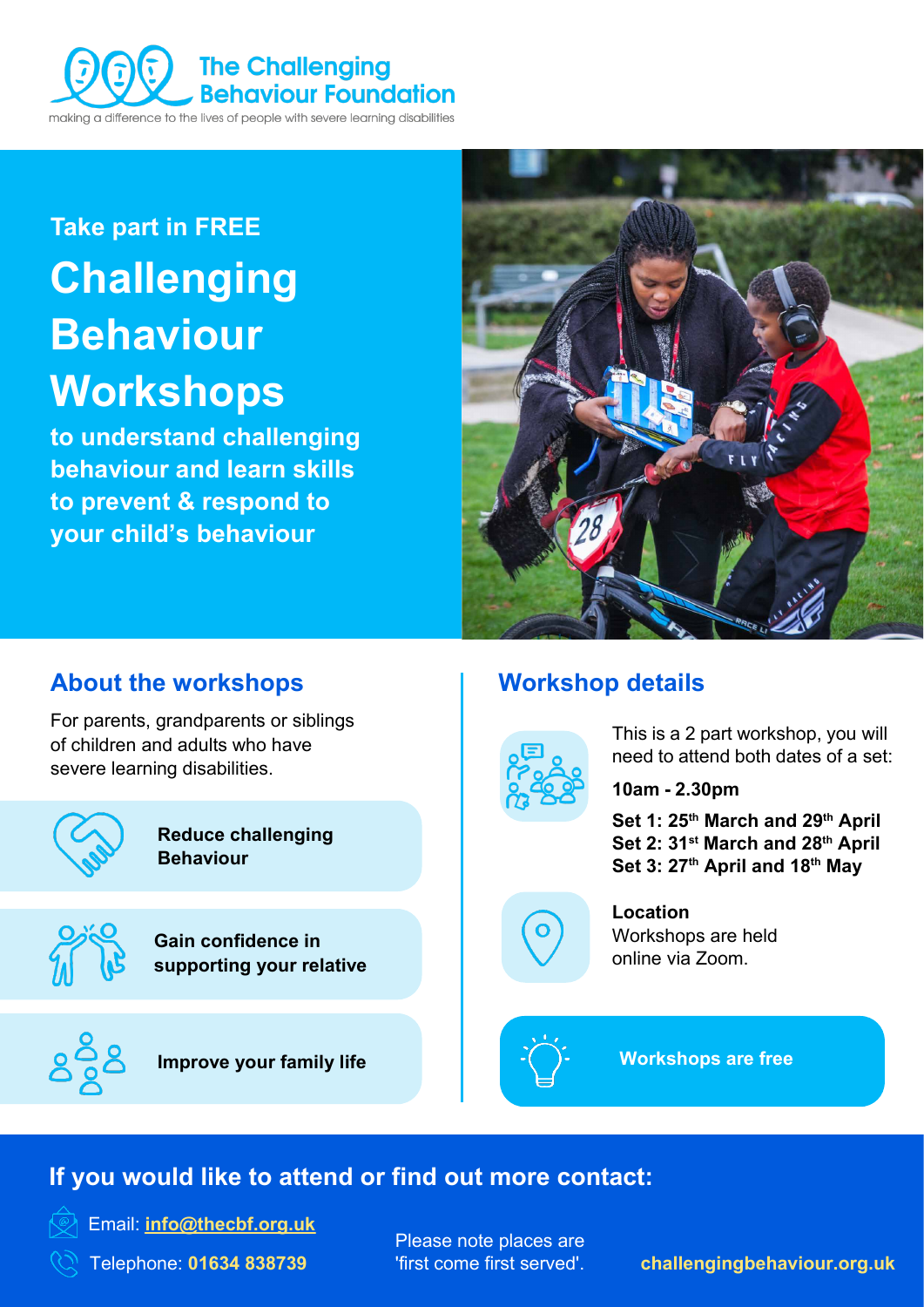

# **Take part in FREE Challenging Behaviour Workshops**

**to understand challenging behaviour and learn skills to prevent & respond to your child's behaviour**



### **About the workshops**

For parents, grandparents or siblings of children and adults who have severe learning disabilities.



**Reduce challenging Behaviour**

**Gain confidence in supporting your relative** 



**Improve your family life**

# **Workshop details**



This is a 2 part workshop, you will need to attend both dates of a set:

**10am - 2.30pm**

Set 1: 25<sup>th</sup> March and 29<sup>th</sup> April **Set 2: 31st March and 28th April** Set 3: 27<sup>th</sup> April and 18<sup>th</sup> May



**Location** Workshops are held online via Zoom.



**Workshops are free**

# **If you would like to attend or find out more contact:**



Email: **info@thecbf.org.uk**

Telephone: **01634 838739**

Please note places are 'first come first served'.

**[challengingbehaviour.org.uk](https://www.challengingbehaviour.org.uk/)**